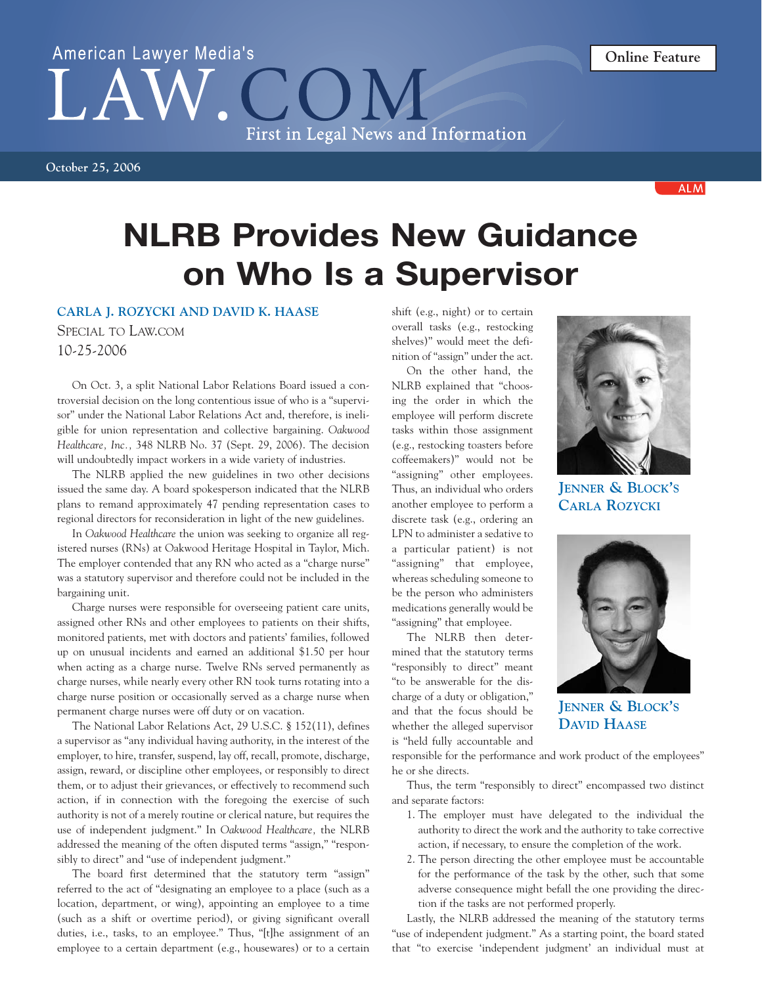## American Lawyer Media's  $\overline{()}$ First in Legal News and Information

**October 25, 2006**

**ALM** 

## **NLRB Provides New Guidance on Who Is a Supervisor**

## **CARLA J. ROZYCKI AND DAVID K. HAASE**

SPECIAL TO LAW.COM 10-25-2006

On Oct. 3, a split National Labor Relations Board issued a controversial decision on the long contentious issue of who is a "supervisor" under the National Labor Relations Act and, therefore, is ineligible for union representation and collective bargaining. *Oakwood Healthcare, Inc.,* 348 NLRB No. 37 (Sept. 29, 2006). The decision will undoubtedly impact workers in a wide variety of industries.

The NLRB applied the new guidelines in two other decisions issued the same day. A board spokesperson indicated that the NLRB plans to remand approximately 47 pending representation cases to regional directors for reconsideration in light of the new guidelines.

In *Oakwood Healthcare* the union was seeking to organize all registered nurses (RNs) at Oakwood Heritage Hospital in Taylor, Mich. The employer contended that any RN who acted as a "charge nurse" was a statutory supervisor and therefore could not be included in the bargaining unit.

Charge nurses were responsible for overseeing patient care units, assigned other RNs and other employees to patients on their shifts, monitored patients, met with doctors and patients' families, followed up on unusual incidents and earned an additional \$1.50 per hour when acting as a charge nurse. Twelve RNs served permanently as charge nurses, while nearly every other RN took turns rotating into a charge nurse position or occasionally served as a charge nurse when permanent charge nurses were off duty or on vacation.

The National Labor Relations Act, 29 U.S.C. § 152(11), defines a supervisor as "any individual having authority, in the interest of the employer, to hire, transfer, suspend, lay off, recall, promote, discharge, assign, reward, or discipline other employees, or responsibly to direct them, or to adjust their grievances, or effectively to recommend such action, if in connection with the foregoing the exercise of such authority is not of a merely routine or clerical nature, but requires the use of independent judgment." In *Oakwood Healthcare,* the NLRB addressed the meaning of the often disputed terms "assign," "responsibly to direct" and "use of independent judgment."

The board first determined that the statutory term "assign" referred to the act of "designating an employee to a place (such as a location, department, or wing), appointing an employee to a time (such as a shift or overtime period), or giving significant overall duties, i.e., tasks, to an employee." Thus, "[t]he assignment of an employee to a certain department (e.g., housewares) or to a certain shift (e.g., night) or to certain overall tasks (e.g., restocking shelves)" would meet the definition of "assign" under the act.

On the other hand, the NLRB explained that "choosing the order in which the employee will perform discrete tasks within those assignment (e.g., restocking toasters before coffeemakers)" would not be "assigning" other employees. Thus, an individual who orders another employee to perform a discrete task (e.g., ordering an LPN to administer a sedative to a particular patient) is not "assigning" that employee, whereas scheduling someone to be the person who administers medications generally would be "assigning" that employee.

The NLRB then determined that the statutory terms "responsibly to direct" meant "to be answerable for the discharge of a duty or obligation," and that the focus should be whether the alleged supervisor is "held fully accountable and



**JENNER & BLOCK'S CARLA ROZYCKI**



**JENNER & BLOCK'S DAVID HAASE**

responsible for the performance and work product of the employees" he or she directs.

Thus, the term "responsibly to direct" encompassed two distinct and separate factors:

- 1. The employer must have delegated to the individual the authority to direct the work and the authority to take corrective action, if necessary, to ensure the completion of the work.
- 2. The person directing the other employee must be accountable for the performance of the task by the other, such that some adverse consequence might befall the one providing the direction if the tasks are not performed properly.

Lastly, the NLRB addressed the meaning of the statutory terms "use of independent judgment." As a starting point, the board stated that "to exercise 'independent judgment' an individual must at